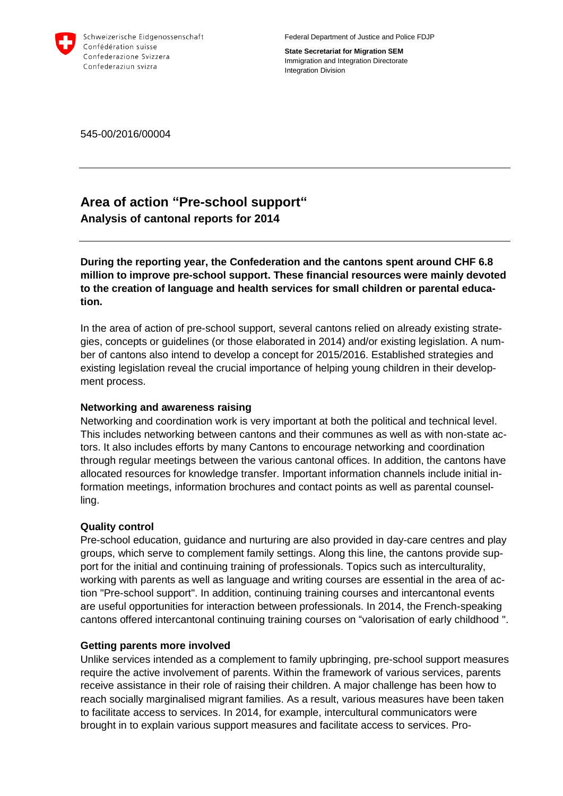

Federal Department of Justice and Police FDJP

**State Secretariat for Migration SEM** Immigration and Integration Directorate Integration Division

545-00/2016/00004

# **Area of action "Pre-school support" Analysis of cantonal reports for 2014**

**During the reporting year, the Confederation and the cantons spent around CHF 6.8 million to improve pre-school support. These financial resources were mainly devoted to the creation of language and health services for small children or parental education.** 

In the area of action of pre-school support, several cantons relied on already existing strategies, concepts or guidelines (or those elaborated in 2014) and/or existing legislation. A number of cantons also intend to develop a concept for 2015/2016. Established strategies and existing legislation reveal the crucial importance of helping young children in their development process.

# **Networking and awareness raising**

Networking and coordination work is very important at both the political and technical level. This includes networking between cantons and their communes as well as with non-state actors. It also includes efforts by many Cantons to encourage networking and coordination through regular meetings between the various cantonal offices. In addition, the cantons have allocated resources for knowledge transfer. Important information channels include initial information meetings, information brochures and contact points as well as parental counselling.

# **Quality control**

Pre-school education, guidance and nurturing are also provided in day-care centres and play groups, which serve to complement family settings. Along this line, the cantons provide support for the initial and continuing training of professionals. Topics such as interculturality, working with parents as well as language and writing courses are essential in the area of action "Pre-school support". In addition, continuing training courses and intercantonal events are useful opportunities for interaction between professionals. In 2014, the French-speaking cantons offered intercantonal continuing training courses on "valorisation of early childhood ".

# **Getting parents more involved**

Unlike services intended as a complement to family upbringing, pre-school support measures require the active involvement of parents. Within the framework of various services, parents receive assistance in their role of raising their children. A major challenge has been how to reach socially marginalised migrant families. As a result, various measures have been taken to facilitate access to services. In 2014, for example, intercultural communicators were brought in to explain various support measures and facilitate access to services. Pro